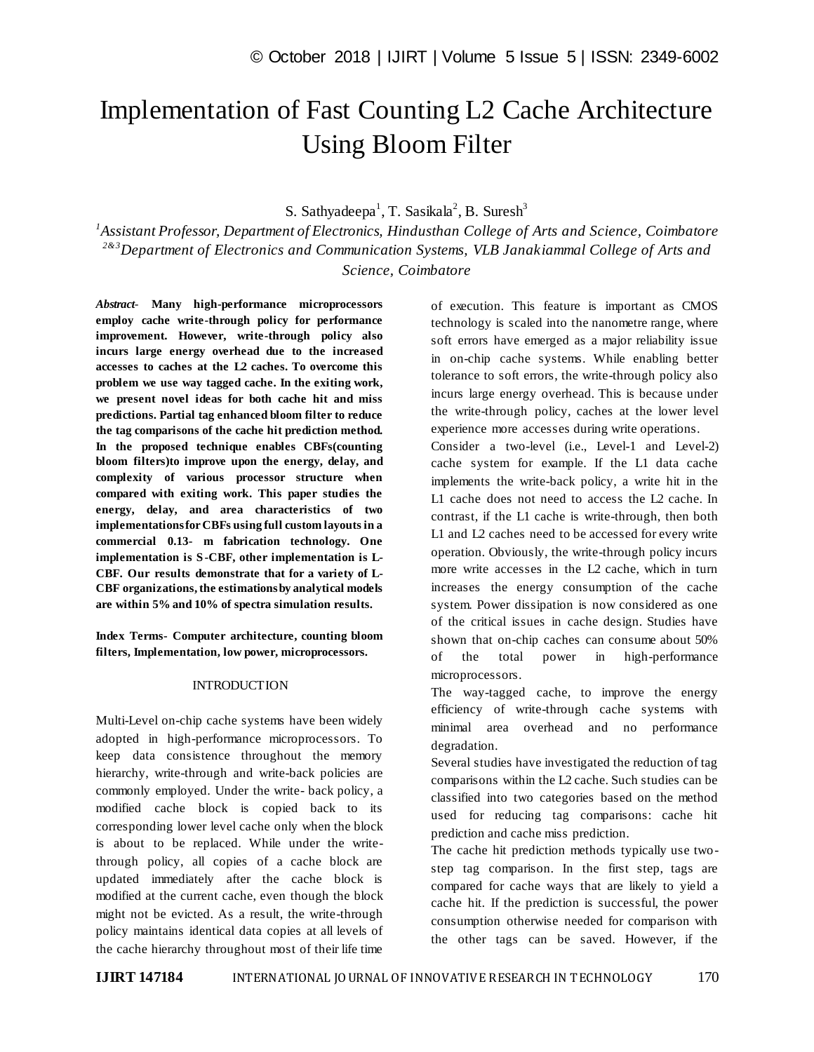# Implementation of Fast Counting L2 Cache Architecture Using Bloom Filter

S. Sathyadeepa<sup>1</sup>, T. Sasikala<sup>2</sup>, B. Suresh<sup>3</sup>

*1 Assistant Professor, Department of Electronics, Hindusthan College of Arts and Science, Coimbatore 2&3Department of Electronics and Communication Systems, VLB Janakiammal College of Arts and Science, Coimbatore*

*Abstract*- **Many high-performance microprocessors employ cache write-through policy for performance improvement. However, write-through policy also incurs large energy overhead due to the increased accesses to caches at the L2 caches. To overcome this problem we use way tagged cache. In the exiting work, we present novel ideas for both cache hit and miss predictions. Partial tag enhanced bloom filter to reduce the tag comparisons of the cache hit prediction method. In the proposed technique enables CBFs(counting bloom filters)to improve upon the energy, delay, and complexity of various processor structure when compared with exiting work. This paper studies the energy, delay, and area characteristics of two implementations for CBFs using full custom layouts in a commercial 0.13- m fabrication technology. One implementation is S-CBF, other implementation is L-CBF. Our results demonstrate that for a variety of L-CBF organizations, the estimations by analytical models are within 5% and 10% of spectra simulation results.**

**Index Terms- Computer architecture, counting bloom filters, Implementation, low power, microprocessors.**

## **INTRODUCTION**

Multi-Level on-chip cache systems have been widely adopted in high-performance microprocessors. To keep data consistence throughout the memory hierarchy, write-through and write-back policies are commonly employed. Under the write- back policy, a modified cache block is copied back to its corresponding lower level cache only when the block is about to be replaced. While under the writethrough policy, all copies of a cache block are updated immediately after the cache block is modified at the current cache, even though the block might not be evicted. As a result, the write-through policy maintains identical data copies at all levels of the cache hierarchy throughout most of their life time of execution. This feature is important as CMOS technology is scaled into the nanometre range, where soft errors have emerged as a major reliability issue in on-chip cache systems. While enabling better tolerance to soft errors, the write-through policy also incurs large energy overhead. This is because under the write-through policy, caches at the lower level experience more accesses during write operations.

Consider a two-level (i.e., Level-1 and Level-2) cache system for example. If the L1 data cache implements the write-back policy, a write hit in the L1 cache does not need to access the L2 cache. In contrast, if the L1 cache is write-through, then both L1 and L2 caches need to be accessed for every write operation. Obviously, the write-through policy incurs more write accesses in the L2 cache, which in turn increases the energy consumption of the cache system. Power dissipation is now considered as one of the critical issues in cache design. Studies have shown that on-chip caches can consume about 50% of the total power in high-performance microprocessors.

The way-tagged cache, to improve the energy efficiency of write-through cache systems with minimal area overhead and no performance degradation.

Several studies have investigated the reduction of tag comparisons within the L2 cache. Such studies can be classified into two categories based on the method used for reducing tag comparisons: cache hit prediction and cache miss prediction.

The cache hit prediction methods typically use twostep tag comparison. In the first step, tags are compared for cache ways that are likely to yield a cache hit. If the prediction is successful, the power consumption otherwise needed for comparison with the other tags can be saved. However, if the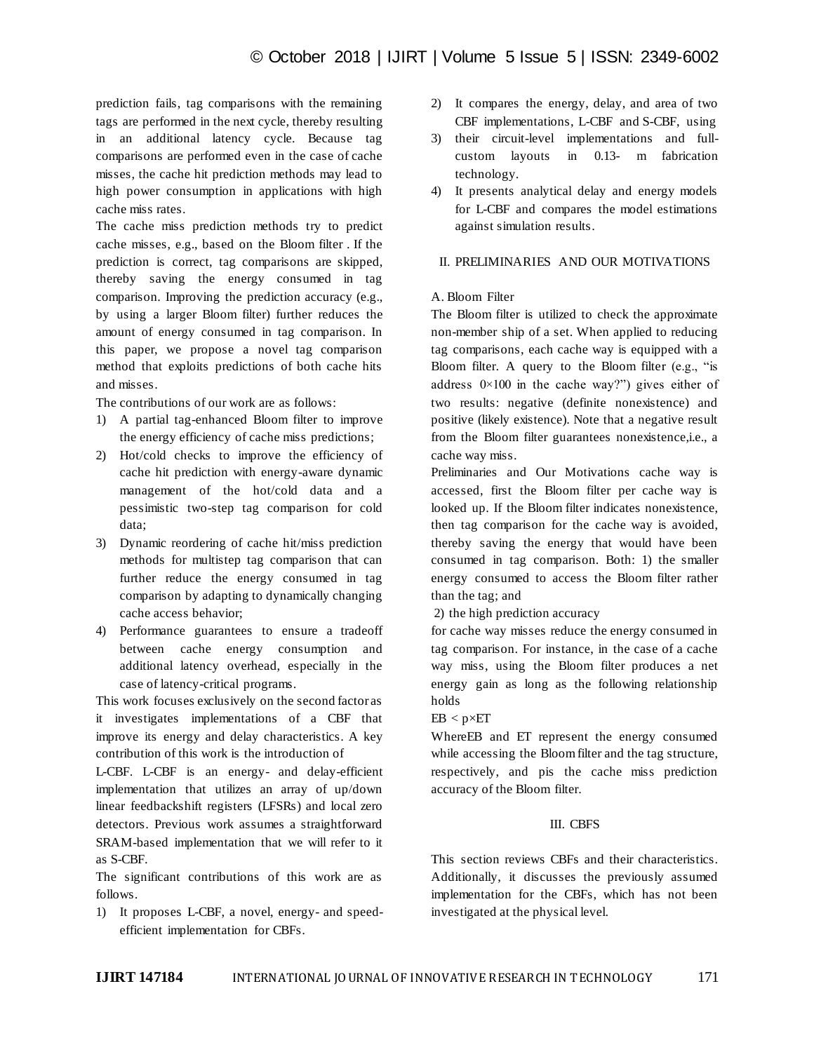prediction fails, tag comparisons with the remaining tags are performed in the next cycle, thereby resulting in an additional latency cycle. Because tag comparisons are performed even in the case of cache misses, the cache hit prediction methods may lead to high power consumption in applications with high cache miss rates.

The cache miss prediction methods try to predict cache misses, e.g., based on the Bloom filter . If the prediction is correct, tag comparisons are skipped, thereby saving the energy consumed in tag comparison. Improving the prediction accuracy (e.g., by using a larger Bloom filter) further reduces the amount of energy consumed in tag comparison. In this paper, we propose a novel tag comparison method that exploits predictions of both cache hits and misses.

The contributions of our work are as follows:

- 1) A partial tag-enhanced Bloom filter to improve the energy efficiency of cache miss predictions;
- 2) Hot/cold checks to improve the efficiency of cache hit prediction with energy-aware dynamic management of the hot/cold data and a pessimistic two-step tag comparison for cold data;
- 3) Dynamic reordering of cache hit/miss prediction methods for multistep tag comparison that can further reduce the energy consumed in tag comparison by adapting to dynamically changing cache access behavior;
- 4) Performance guarantees to ensure a tradeoff between cache energy consumption and additional latency overhead, especially in the case of latency-critical programs.

This work focuses exclusively on the second factor as it investigates implementations of a CBF that improve its energy and delay characteristics. A key contribution of this work is the introduction of

L-CBF. L-CBF is an energy- and delay-efficient implementation that utilizes an array of up/down linear feedbackshift registers (LFSRs) and local zero detectors. Previous work assumes a straightforward SRAM-based implementation that we will refer to it as S-CBF.

The significant contributions of this work are as follows.

1) It proposes L-CBF, a novel, energy- and speedefficient implementation for CBFs.

- 2) It compares the energy, delay, and area of two CBF implementations, L-CBF and S-CBF, using
- 3) their circuit-level implementations and fullcustom layouts in 0.13- m fabrication technology.
- 4) It presents analytical delay and energy models for L-CBF and compares the model estimations against simulation results.

## II. PRELIMINARIES AND OUR MOTIVATIONS

## A. Bloom Filter

The Bloom filter is utilized to check the approximate non-member ship of a set. When applied to reducing tag comparisons, each cache way is equipped with a Bloom filter. A query to the Bloom filter (e.g., "is address  $0 \times 100$  in the cache way?") gives either of two results: negative (definite nonexistence) and positive (likely existence). Note that a negative result from the Bloom filter guarantees nonexistence,i.e., a cache way miss.

Preliminaries and Our Motivations cache way is accessed, first the Bloom filter per cache way is looked up. If the Bloom filter indicates nonexistence, then tag comparison for the cache way is avoided, thereby saving the energy that would have been consumed in tag comparison. Both: 1) the smaller energy consumed to access the Bloom filter rather than the tag; and

2) the high prediction accuracy

for cache way misses reduce the energy consumed in tag comparison. For instance, in the case of a cache way miss, using the Bloom filter produces a net energy gain as long as the following relationship holds

 $EB < p \times ET$ 

WhereEB and ET represent the energy consumed while accessing the Bloom filter and the tag structure, respectively, and pis the cache miss prediction accuracy of the Bloom filter.

## III. CBFS

This section reviews CBFs and their characteristics. Additionally, it discusses the previously assumed implementation for the CBFs, which has not been investigated at the physical level.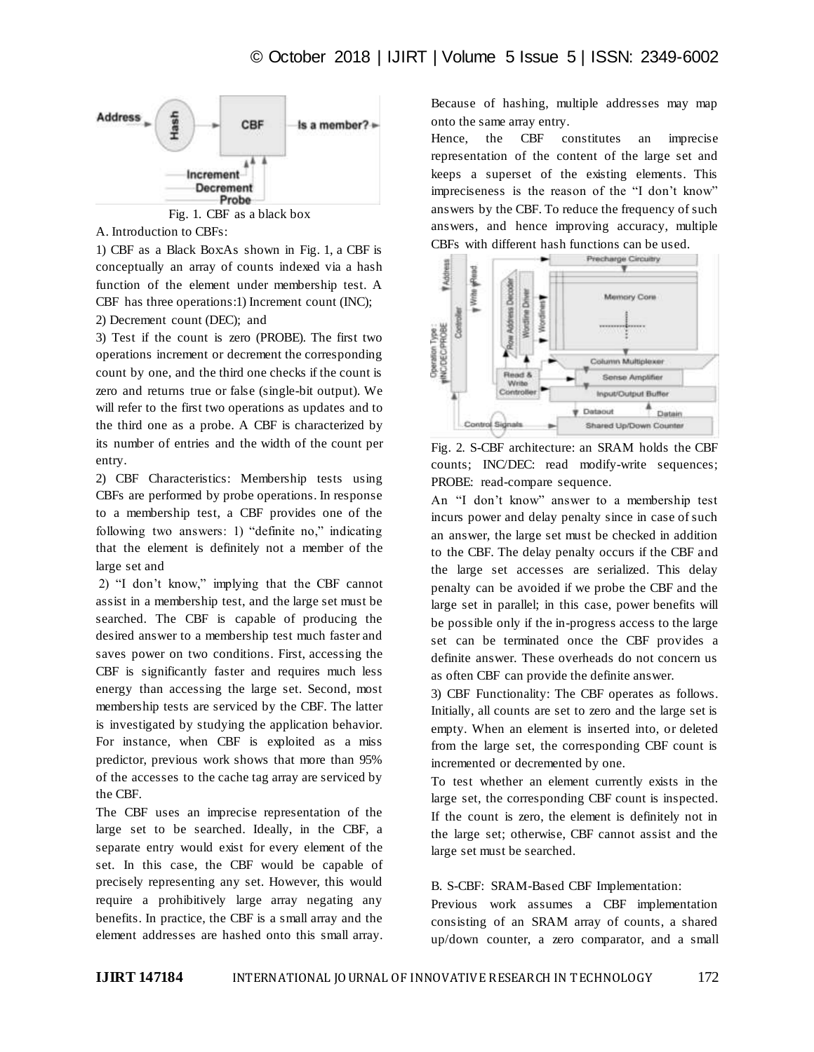

Fig. 1. CBF as a black box

A. Introduction to CBFs:

1) CBF as a Black Box:As shown in Fig. 1, a CBF is conceptually an array of counts indexed via a hash function of the element under membership test. A CBF has three operations:1) Increment count (INC);

2) Decrement count (DEC); and

3) Test if the count is zero (PROBE). The first two operations increment or decrement the corresponding count by one, and the third one checks if the count is zero and returns true or false (single-bit output). We will refer to the first two operations as updates and to the third one as a probe. A CBF is characterized by its number of entries and the width of the count per entry.

2) CBF Characteristics: Membership tests using CBFs are performed by probe operations. In response to a membership test, a CBF provides one of the following two answers: 1) "definite no," indicating that the element is definitely not a member of the large set and

2) "I don't know," implying that the CBF cannot assist in a membership test, and the large set must be searched. The CBF is capable of producing the desired answer to a membership test much faster and saves power on two conditions. First, accessing the CBF is significantly faster and requires much less energy than accessing the large set. Second, most membership tests are serviced by the CBF. The latter is investigated by studying the application behavior. For instance, when CBF is exploited as a miss predictor, previous work shows that more than 95% of the accesses to the cache tag array are serviced by the CBF.

The CBF uses an imprecise representation of the large set to be searched. Ideally, in the CBF, a separate entry would exist for every element of the set. In this case, the CBF would be capable of precisely representing any set. However, this would require a prohibitively large array negating any benefits. In practice, the CBF is a small array and the element addresses are hashed onto this small array. Because of hashing, multiple addresses may map onto the same array entry.

Hence, the CBF constitutes an imprecise representation of the content of the large set and keeps a superset of the existing elements. This impreciseness is the reason of the "I don't know" answers by the CBF. To reduce the frequency of such answers, and hence improving accuracy, multiple CBFs with different hash functions can be used.



Fig. 2. S-CBF architecture: an SRAM holds the CBF counts; INC/DEC: read modify-write sequences; PROBE: read-compare sequence.

An "I don't know" answer to a membership test incurs power and delay penalty since in case of such an answer, the large set must be checked in addition to the CBF. The delay penalty occurs if the CBF and the large set accesses are serialized. This delay penalty can be avoided if we probe the CBF and the large set in parallel; in this case, power benefits will be possible only if the in-progress access to the large set can be terminated once the CBF provides a definite answer. These overheads do not concern us as often CBF can provide the definite answer.

3) CBF Functionality: The CBF operates as follows. Initially, all counts are set to zero and the large set is empty. When an element is inserted into, or deleted from the large set, the corresponding CBF count is incremented or decremented by one.

To test whether an element currently exists in the large set, the corresponding CBF count is inspected. If the count is zero, the element is definitely not in the large set; otherwise, CBF cannot assist and the large set must be searched.

# B. S-CBF: SRAM-Based CBF Implementation:

Previous work assumes a CBF implementation consisting of an SRAM array of counts, a shared up/down counter, a zero comparator, and a small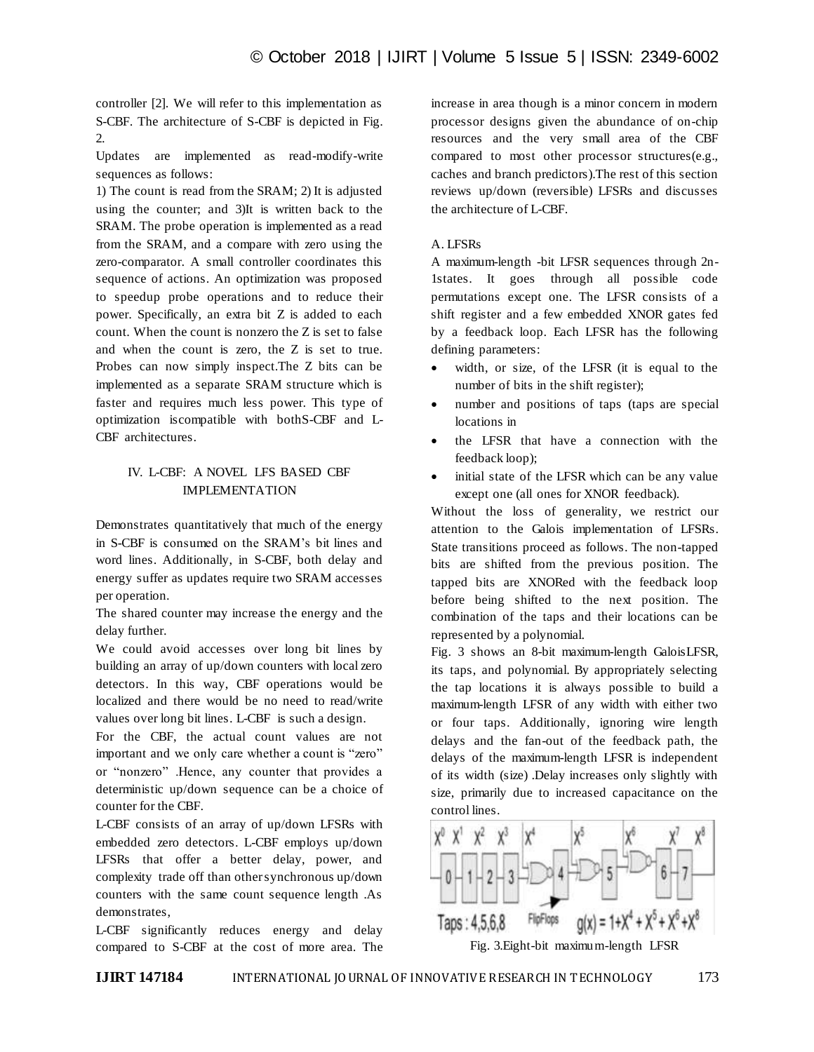controller [2]. We will refer to this implementation as S-CBF. The architecture of S-CBF is depicted in Fig.  $\mathcal{L}$ 

Updates are implemented as read-modify-write sequences as follows:

1) The count is read from the SRAM; 2) It is adjusted using the counter; and 3)It is written back to the SRAM. The probe operation is implemented as a read from the SRAM, and a compare with zero using the zero-comparator. A small controller coordinates this sequence of actions. An optimization was proposed to speedup probe operations and to reduce their power. Specifically, an extra bit Z is added to each count. When the count is nonzero the Z is set to false and when the count is zero, the Z is set to true. Probes can now simply inspect.The Z bits can be implemented as a separate SRAM structure which is faster and requires much less power. This type of optimization iscompatible with bothS-CBF and L-CBF architectures.

# IV. L-CBF: A NOVEL LFS BASED CBF IMPLEMENTATION

Demonstrates quantitatively that much of the energy in S-CBF is consumed on the SRAM's bit lines and word lines. Additionally, in S-CBF, both delay and energy suffer as updates require two SRAM accesses per operation.

The shared counter may increase the energy and the delay further.

We could avoid accesses over long bit lines by building an array of up/down counters with local zero detectors. In this way, CBF operations would be localized and there would be no need to read/write values over long bit lines. L-CBF is such a design.

For the CBF, the actual count values are not important and we only care whether a count is "zero" or "nonzero" .Hence, any counter that provides a deterministic up/down sequence can be a choice of counter for the CBF.

L-CBF consists of an array of up/down LFSRs with embedded zero detectors. L-CBF employs up/down LFSRs that offer a better delay, power, and complexity trade off than other synchronous up/down counters with the same count sequence length .As demonstrates,

L-CBF significantly reduces energy and delay compared to S-CBF at the cost of more area. The increase in area though is a minor concern in modern processor designs given the abundance of on-chip resources and the very small area of the CBF compared to most other processor structures(e.g., caches and branch predictors).The rest of this section reviews up/down (reversible) LFSRs and discusses the architecture of L-CBF.

# A. LFSRs

A maximum-length -bit LFSR sequences through 2n-1states. It goes through all possible code permutations except one. The LFSR consists of a shift register and a few embedded XNOR gates fed by a feedback loop. Each LFSR has the following defining parameters:

- width, or size, of the LFSR (it is equal to the number of bits in the shift register);
- number and positions of taps (taps are special locations in
- the LFSR that have a connection with the feedback loop);
- initial state of the LFSR which can be any value except one (all ones for XNOR feedback).

Without the loss of generality, we restrict our attention to the Galois implementation of LFSRs. State transitions proceed as follows. The non-tapped bits are shifted from the previous position. The tapped bits are XNORed with the feedback loop before being shifted to the next position. The combination of the taps and their locations can be represented by a polynomial.

Fig. 3 shows an 8-bit maximum-length GaloisLFSR, its taps, and polynomial. By appropriately selecting the tap locations it is always possible to build a maximum-length LFSR of any width with either two or four taps. Additionally, ignoring wire length delays and the fan-out of the feedback path, the delays of the maximum-length LFSR is independent of its width (size) .Delay increases only slightly with size, primarily due to increased capacitance on the control lines.



Fig. 3.Eight-bit maximum-length LFSR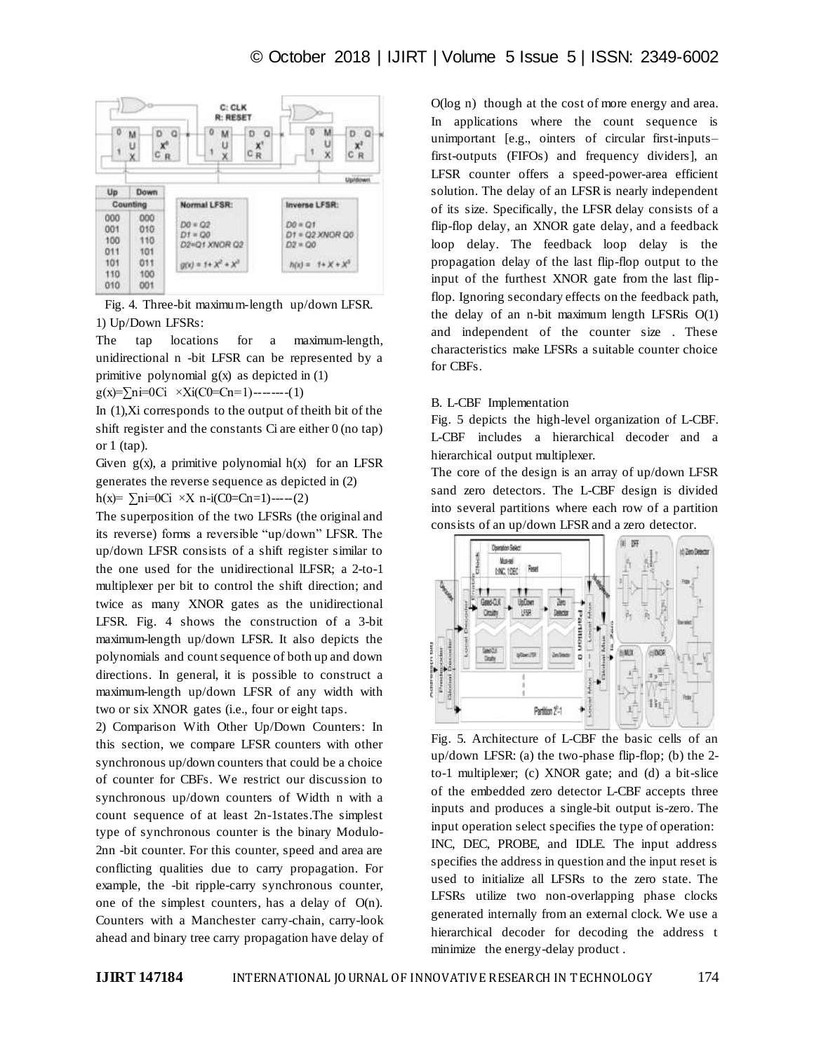

Fig. 4. Three-bit maximum-length up/down LFSR. 1) Up/Down LFSRs:

The tap locations for a maximum-length, unidirectional n -bit LFSR can be represented by a primitive polynomial  $g(x)$  as depicted in (1)

g(x)= $\sum$ ni=0Ci ×Xi(C0=Cn=1)--------(1)

In (1),Xi corresponds to the output of theith bit of the shift register and the constants Ci are either 0 (no tap) or  $1$  (tap).

Given  $g(x)$ , a primitive polynomial  $h(x)$  for an LFSR generates the reverse sequence as depicted in (2) h(x)=  $\sum$ ni=0Ci ×X n-i(C0=Cn=1)-----(2)

The superposition of the two LFSRs (the original and its reverse) forms a reversible "up/down" LFSR. The up/down LFSR consists of a shift register similar to the one used for the unidirectional lLFSR; a 2-to-1 multiplexer per bit to control the shift direction; and twice as many XNOR gates as the unidirectional LFSR. Fig. 4 shows the construction of a 3-bit maximum-length up/down LFSR. It also depicts the polynomials and count sequence of both up and down directions. In general, it is possible to construct a maximum-length up/down LFSR of any width with two or six XNOR gates (i.e., four or eight taps.

2) Comparison With Other Up/Down Counters: In this section, we compare LFSR counters with other synchronous up/down counters that could be a choice of counter for CBFs. We restrict our discussion to synchronous up/down counters of Width n with a count sequence of at least 2n-1states.The simplest type of synchronous counter is the binary Modulo-2nn -bit counter. For this counter, speed and area are conflicting qualities due to carry propagation. For example, the -bit ripple-carry synchronous counter, one of the simplest counters, has a delay of O(n). Counters with a Manchester carry-chain, carry-look ahead and binary tree carry propagation have delay of O(log n) though at the cost of more energy and area. In applications where the count sequence is unimportant [e.g., ointers of circular first-inputs– first-outputs (FIFOs) and frequency dividers], an LFSR counter offers a speed-power-area efficient solution. The delay of an LFSR is nearly independent of its size. Specifically, the LFSR delay consists of a flip-flop delay, an XNOR gate delay, and a feedback loop delay. The feedback loop delay is the propagation delay of the last flip-flop output to the input of the furthest XNOR gate from the last flipflop. Ignoring secondary effects on the feedback path, the delay of an n-bit maximum length LFSRis O(1) and independent of the counter size . These characteristics make LFSRs a suitable counter choice for CBFs.

## B. L-CBF Implementation

Fig. 5 depicts the high-level organization of L-CBF. L-CBF includes a hierarchical decoder and a hierarchical output multiplexer.

The core of the design is an array of up/down LFSR sand zero detectors. The L-CBF design is divided into several partitions where each row of a partition consists of an up/down LFSR and a zero detector.



Fig. 5. Architecture of L-CBF the basic cells of an up/down LFSR: (a) the two-phase flip-flop; (b) the 2 to-1 multiplexer; (c) XNOR gate; and (d) a bit-slice of the embedded zero detector L-CBF accepts three inputs and produces a single-bit output is-zero. The input operation select specifies the type of operation: INC, DEC, PROBE, and IDLE. The input address specifies the address in question and the input reset is used to initialize all LFSRs to the zero state. The LFSRs utilize two non-overlapping phase clocks generated internally from an external clock. We use a hierarchical decoder for decoding the address t minimize the energy-delay product .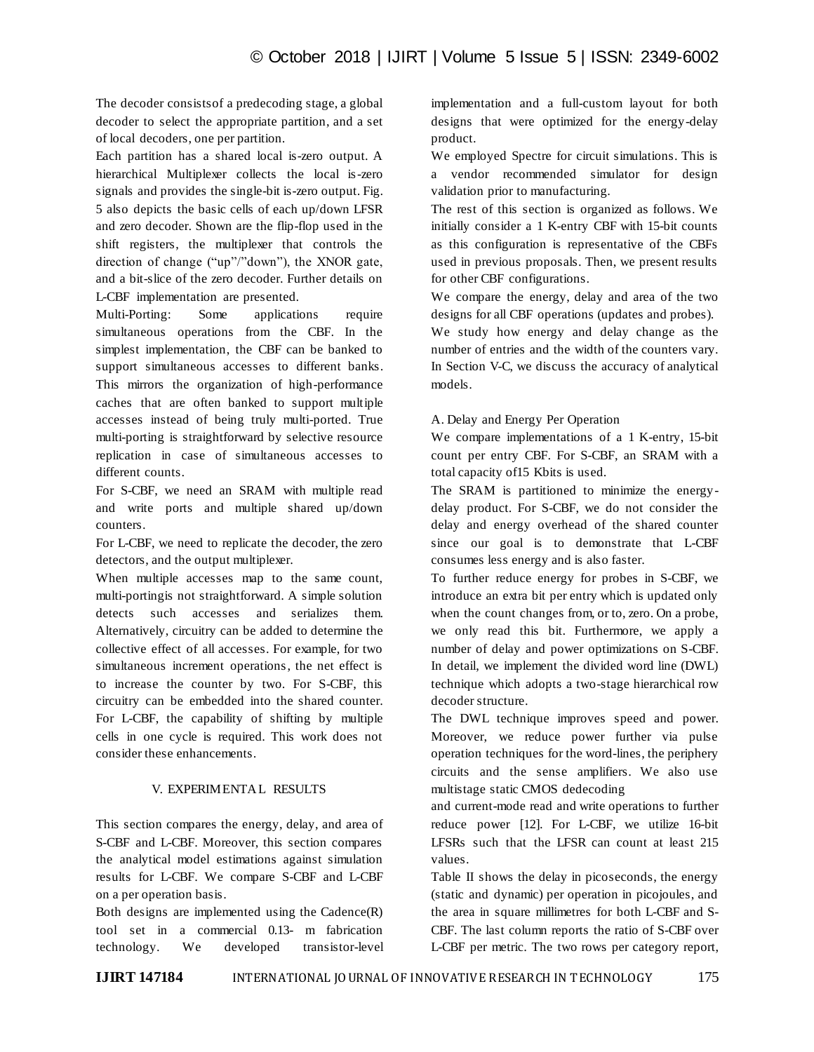The decoder consistsof a predecoding stage, a global decoder to select the appropriate partition, and a set of local decoders, one per partition.

Each partition has a shared local is-zero output. A hierarchical Multiplexer collects the local is-zero signals and provides the single-bit is-zero output. Fig. 5 also depicts the basic cells of each up/down LFSR and zero decoder. Shown are the flip-flop used in the shift registers, the multiplexer that controls the direction of change ("up"/"down"), the XNOR gate, and a bit-slice of the zero decoder. Further details on L-CBF implementation are presented.

Multi-Porting: Some applications require simultaneous operations from the CBF. In the simplest implementation, the CBF can be banked to support simultaneous accesses to different banks. This mirrors the organization of high-performance caches that are often banked to support multiple accesses instead of being truly multi-ported. True multi-porting is straightforward by selective resource replication in case of simultaneous accesses to different counts.

For S-CBF, we need an SRAM with multiple read and write ports and multiple shared up/down counters.

For L-CBF, we need to replicate the decoder, the zero detectors, and the output multiplexer.

When multiple accesses map to the same count, multi-portingis not straightforward. A simple solution detects such accesses and serializes them. Alternatively, circuitry can be added to determine the collective effect of all accesses. For example, for two simultaneous increment operations, the net effect is to increase the counter by two. For S-CBF, this circuitry can be embedded into the shared counter. For L-CBF, the capability of shifting by multiple cells in one cycle is required. This work does not consider these enhancements.

# V. EXPERIMENTAL RESULTS

This section compares the energy, delay, and area of S-CBF and L-CBF. Moreover, this section compares the analytical model estimations against simulation results for L-CBF. We compare S-CBF and L-CBF on a per operation basis.

Both designs are implemented using the Cadence(R) tool set in a commercial 0.13- m fabrication technology. We developed transistor-level implementation and a full-custom layout for both designs that were optimized for the energy-delay product.

We employed Spectre for circuit simulations. This is a vendor recommended simulator for design validation prior to manufacturing.

The rest of this section is organized as follows. We initially consider a 1 K-entry CBF with 15-bit counts as this configuration is representative of the CBFs used in previous proposals. Then, we present results for other CBF configurations.

We compare the energy, delay and area of the two designs for all CBF operations (updates and probes).

We study how energy and delay change as the number of entries and the width of the counters vary. In Section V-C, we discuss the accuracy of analytical models.

A. Delay and Energy Per Operation

We compare implementations of a 1 K-entry, 15-bit count per entry CBF. For S-CBF, an SRAM with a total capacity of15 Kbits is used.

The SRAM is partitioned to minimize the energydelay product. For S-CBF, we do not consider the delay and energy overhead of the shared counter since our goal is to demonstrate that L-CBF consumes less energy and is also faster.

To further reduce energy for probes in S-CBF, we introduce an extra bit per entry which is updated only when the count changes from, or to, zero. On a probe, we only read this bit. Furthermore, we apply a number of delay and power optimizations on S-CBF. In detail, we implement the divided word line (DWL) technique which adopts a two-stage hierarchical row decoder structure.

The DWL technique improves speed and power. Moreover, we reduce power further via pulse operation techniques for the word-lines, the periphery circuits and the sense amplifiers. We also use multistage static CMOS dedecoding

and current-mode read and write operations to further reduce power [12]. For L-CBF, we utilize 16-bit LFSRs such that the LFSR can count at least 215 values.

Table II shows the delay in picoseconds, the energy (static and dynamic) per operation in picojoules, and the area in square millimetres for both L-CBF and S-CBF. The last column reports the ratio of S-CBF over L-CBF per metric. The two rows per category report,